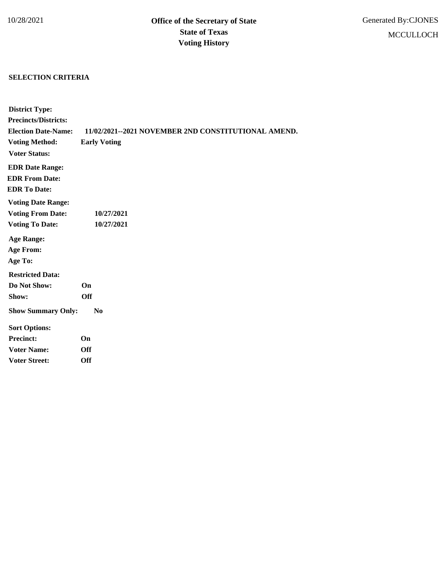## **SELECTION CRITERIA**

| <b>District Type:</b>       |                                                     |
|-----------------------------|-----------------------------------------------------|
| <b>Precincts/Districts:</b> |                                                     |
| <b>Election Date-Name:</b>  | 11/02/2021--2021 NOVEMBER 2ND CONSTITUTIONAL AMEND. |
| <b>Voting Method:</b>       | <b>Early Voting</b>                                 |
| <b>Voter Status:</b>        |                                                     |
| <b>EDR Date Range:</b>      |                                                     |
| <b>EDR From Date:</b>       |                                                     |
| <b>EDR To Date:</b>         |                                                     |
| <b>Voting Date Range:</b>   |                                                     |
| <b>Voting From Date:</b>    | 10/27/2021                                          |
| <b>Voting To Date:</b>      | 10/27/2021                                          |
| <b>Age Range:</b>           |                                                     |
| <b>Age From:</b>            |                                                     |
| Age To:                     |                                                     |
| <b>Restricted Data:</b>     |                                                     |
| Do Not Show:                | <b>On</b>                                           |
| Show:                       | <b>Off</b>                                          |
| <b>Show Summary Only:</b>   | $\bf No$                                            |
| <b>Sort Options:</b>        |                                                     |
| <b>Precinct:</b>            | On                                                  |
| <b>Voter Name:</b>          | <b>Off</b>                                          |
| <b>Voter Street:</b>        | <b>Off</b>                                          |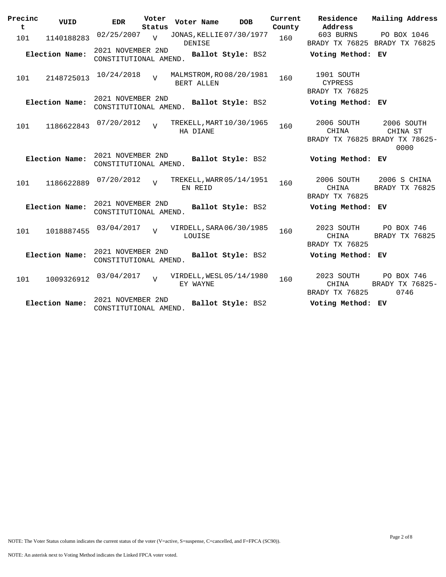| Precinc<br>t | VUID           | <b>EDR</b>                                 | Voter<br>Status | Voter Name | <b>DOB</b>               | Current<br>County | Residence<br>Address                           | Mailing Address                                                  |
|--------------|----------------|--------------------------------------------|-----------------|------------|--------------------------|-------------------|------------------------------------------------|------------------------------------------------------------------|
| 101          | 1140188283     | 02/25/2007                                 | $\overline{U}$  | DENISE     | JONAS, KELLIE 07/30/1977 | 160               | 603 BURNS                                      | PO BOX 1046<br>BRADY TX 76825 BRADY TX 76825                     |
|              | Election Name: | 2021 NOVEMBER 2ND<br>CONSTITUTIONAL AMEND. |                 |            | Ballot Style: BS2        |                   | Voting Method: EV                              |                                                                  |
| 101          | 2148725013     | 10/24/2018                                 | $\overline{U}$  | BERT ALLEN | MALMSTROM, RO 08/20/1981 | 160               | 1901 SOUTH<br><b>CYPRESS</b><br>BRADY TX 76825 |                                                                  |
|              | Election Name: | 2021 NOVEMBER 2ND<br>CONSTITUTIONAL AMEND. |                 |            | Ballot Style: BS2        |                   | Voting Method: EV                              |                                                                  |
| 101          | 1186622843     | 07/20/2012                                 | $\overline{V}$  | HA DIANE   | TREKELL, MART 10/30/1965 | 160               | 2006 SOUTH<br>CHINA                            | 2006 SOUTH<br>CHINA ST<br>BRADY TX 76825 BRADY TX 78625-<br>0000 |
|              | Election Name: | 2021 NOVEMBER 2ND<br>CONSTITUTIONAL AMEND. |                 |            | Ballot Style: BS2        |                   | Voting Method: EV                              |                                                                  |
| 101          | 1186622889     | 07/20/2012                                 | $\overline{U}$  | EN REID    | TREKELL, WARR 05/14/1951 | 160               | 2006 SOUTH<br>CHINA<br>BRADY TX 76825          | 2006 S CHINA<br>BRADY TX 76825                                   |
|              | Election Name: | 2021 NOVEMBER 2ND<br>CONSTITUTIONAL AMEND. |                 |            | Ballot Style: BS2        |                   | Voting Method: EV                              |                                                                  |
| 101          | 1018887455     | 03/04/2017                                 | $\overline{z}$  | LOUISE     | VIRDELL, SARA 06/30/1985 | 160               | 2023 SOUTH<br>CHINA<br>BRADY TX 76825          | PO BOX 746<br>BRADY TX 76825                                     |
|              | Election Name: | 2021 NOVEMBER 2ND<br>CONSTITUTIONAL AMEND. |                 |            | Ballot Style: BS2        |                   | Voting Method: EV                              |                                                                  |
| 101          | 1009326912     | 03/04/2017                                 |                 | EY WAYNE   | VIRDELL, WESL 05/14/1980 | 160               | 2023 SOUTH<br>CHINA<br>BRADY TX 76825          | PO BOX 746<br>BRADY TX 76825-<br>0746                            |
|              | Election Name: | 2021 NOVEMBER 2ND<br>CONSTITUTIONAL AMEND. |                 |            | Ballot Style: BS2        |                   | Voting Method: EV                              |                                                                  |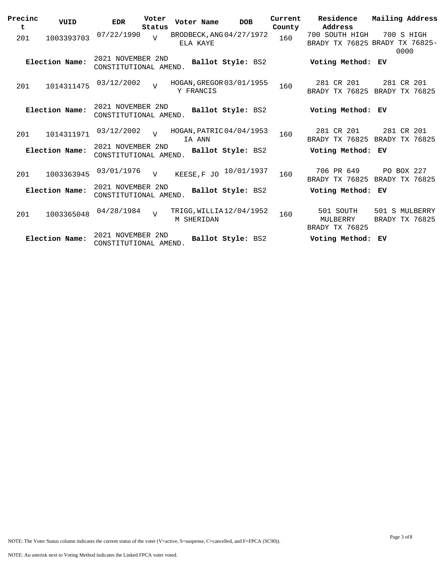| Precinc  | VUID           | <b>EDR</b>                                 | Voter<br>Status | Voter Name                                    |                   | <b>DOB</b> | Current       | Residence<br>Address                             | Mailing Address                  |
|----------|----------------|--------------------------------------------|-----------------|-----------------------------------------------|-------------------|------------|---------------|--------------------------------------------------|----------------------------------|
| t<br>201 | 1003393703     | 07/22/1990                                 | $\overline{z}$  | BRODBECK, ANG 04/27/1972<br>ELA KAYE          |                   |            | County<br>160 | 700 SOUTH HIGH<br>BRADY TX 76825 BRADY TX 76825- | 700 S HIGH<br>0000               |
|          | Election Name: | 2021 NOVEMBER 2ND<br>CONSTITUTIONAL AMEND. |                 |                                               | Ballot Style: BS2 |            |               | Voting Method: EV                                |                                  |
| 201      | 1014311475     | 03/12/2002                                 | $\overline{z}$  | HOGAN, GREGOR 03/01/1955<br>Y FRANCIS         |                   |            | 160           | 281 CR 201<br>BRADY TX 76825                     | 281 CR 201<br>BRADY TX 76825     |
|          | Election Name: | 2021 NOVEMBER 2ND<br>CONSTITUTIONAL AMEND. |                 |                                               | Ballot Style: BS2 |            |               | Voting Method: EV                                |                                  |
| 201      | 1014311971     | 03/12/2002                                 | $\overline{V}$  | HOGAN, PATRIC 04/04/1953<br>IA ANN            |                   |            | 160           | 281 CR 201<br>BRADY TX 76825 BRADY TX 76825      | 281 CR 201                       |
|          | Election Name: | 2021 NOVEMBER 2ND<br>CONSTITUTIONAL AMEND. |                 |                                               | Ballot Style: BS2 |            |               | Voting Method: EV                                |                                  |
| 201      | 1003363945     | 03/01/1976                                 | $\overline{v}$  | KEESE, F JO                                   |                   | 10/01/1937 | 160           | 706 PR 649<br>BRADY TX 76825                     | PO BOX 227<br>BRADY TX 76825     |
|          | Election Name: | 2021 NOVEMBER 2ND<br>CONSTITUTIONAL AMEND. |                 |                                               | Ballot Style: BS2 |            |               | Voting Method: EV                                |                                  |
| 201      | 1003365048     | 04/28/1984                                 | $\overline{U}$  | TRIGG, WILLIA 12/04/1952<br><b>M SHERIDAN</b> |                   |            | 160           | 501 SOUTH<br>MULBERRY<br>BRADY TX 76825          | 501 S MULBERRY<br>BRADY TX 76825 |
|          | Election Name: | 2021 NOVEMBER 2ND<br>CONSTITUTIONAL AMEND. |                 |                                               | Ballot Style: BS2 |            |               | Voting Method: EV                                |                                  |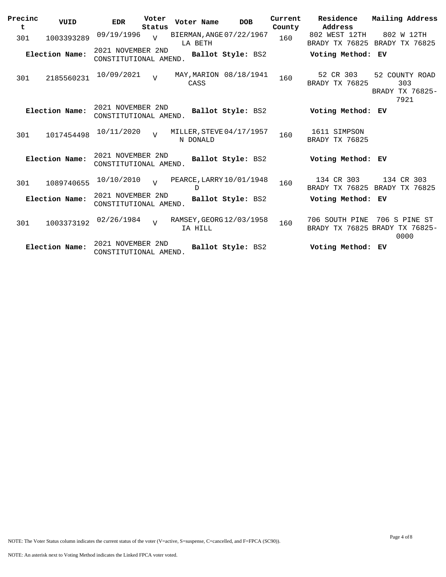| Precinc<br>t | VUID           | Voter<br><b>EDR</b><br>Status              | Voter Name                           | <b>DOB</b>        | Current<br>County | Residence<br>Address            | Mailing Address                                         |
|--------------|----------------|--------------------------------------------|--------------------------------------|-------------------|-------------------|---------------------------------|---------------------------------------------------------|
| 301          | 1003393289     | 09/19/1996<br>$\overline{U}$               | BIERMAN, ANGE 07/22/1967<br>LA BETH  |                   | 160               | 802 WEST 12TH<br>BRADY TX 76825 | 802 W 12TH<br>BRADY TX 76825                            |
|              | Election Name: | 2021 NOVEMBER 2ND<br>CONSTITUTIONAL AMEND. |                                      | Ballot Style: BS2 |                   | Voting Method: EV               |                                                         |
| 301          | 2185560231     | 10/09/2021<br>$\overline{U}$               | MAY, MARION 08/18/1941<br>CASS       |                   | 160               | 52 CR 303<br>BRADY TX 76825     | 52 COUNTY ROAD<br>303<br>BRADY TX 76825-<br>7921        |
|              | Election Name: | 2021 NOVEMBER 2ND<br>CONSTITUTIONAL AMEND. |                                      | Ballot Style: BS2 |                   | Voting Method: EV               |                                                         |
| 301          | 1017454498     | 10/11/2020<br>$\overline{v}$               | MILLER, STEVE 04/17/1957<br>N DONALD |                   | 160               | 1611 SIMPSON<br>BRADY TX 76825  |                                                         |
|              | Election Name: | 2021 NOVEMBER 2ND<br>CONSTITUTIONAL AMEND. |                                      | Ballot Style: BS2 |                   | Voting Method: EV               |                                                         |
| 301          | 1089740655     | 10/10/2010<br>$\overline{v}$               | PEARCE, LARRY 10/01/1948<br>D        |                   | 160               | 134 CR 303<br>BRADY TX 76825    | 134 CR 303<br>BRADY TX 76825                            |
|              | Election Name: | 2021 NOVEMBER 2ND<br>CONSTITUTIONAL AMEND. |                                      | Ballot Style: BS2 |                   | Voting Method: EV               |                                                         |
| 301          | 1003373192     | 02/26/1984<br>$\overline{v}$               | RAMSEY, GEORG 12/03/1958<br>IA HILL  |                   | 160               | 706 SOUTH PINE                  | 706 S PINE ST<br>BRADY TX 76825 BRADY TX 76825-<br>0000 |
|              | Election Name: | 2021 NOVEMBER 2ND<br>CONSTITUTIONAL AMEND. |                                      | Ballot Style: BS2 |                   | Voting Method: EV               |                                                         |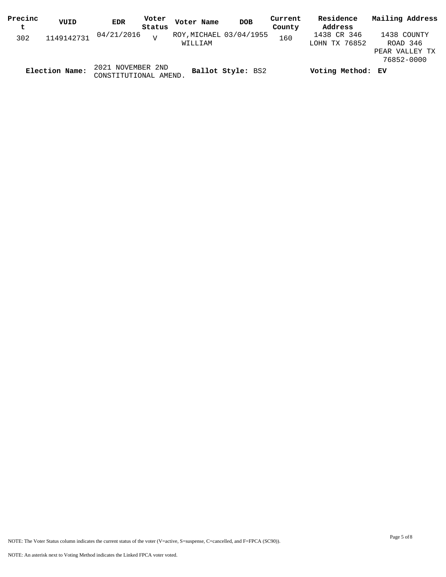| Precinc | VUID           | <b>EDR</b>                                 | Voter  | Voter Name              | <b>DOB</b>        | Current | Residence         | Mailing Address |
|---------|----------------|--------------------------------------------|--------|-------------------------|-------------------|---------|-------------------|-----------------|
| t       |                |                                            | Status |                         |                   | County  | Address           |                 |
| 302     | 1149142731     | 04/21/2016                                 |        | ROY, MICHAEL 03/04/1955 |                   | 160     | 1438 CR 346       | 1438 COUNTY     |
|         |                |                                            |        | WILLIAM                 |                   |         | LOHN TX 76852     | ROAD 346        |
|         |                |                                            |        |                         |                   |         |                   | PEAR VALLEY TX  |
|         |                |                                            |        |                         |                   |         |                   | 76852-0000      |
|         | Election Name: | 2021 NOVEMBER 2ND<br>CONSTITUTIONAL AMEND. |        |                         | Ballot Style: BS2 |         | Voting Method: EV |                 |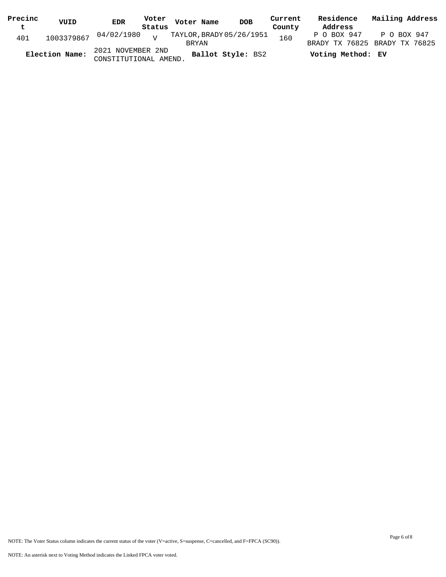| Precinc     | VUID           | <b>EDR</b>                                 |        |              | Voter Voter Name | <b>DOB</b>               | Current | Residence         | Mailing Address                              |
|-------------|----------------|--------------------------------------------|--------|--------------|------------------|--------------------------|---------|-------------------|----------------------------------------------|
| $\mathbf t$ |                |                                            | Status |              |                  |                          | County  | Address           |                                              |
| 401         |                | $1003379867$ $04/02/1980$ $V$              |        | <b>BRYAN</b> |                  | TAYLOR, BRADY 05/26/1951 | 160     | P O BOX 947       | P O BOX 947<br>BRADY TX 76825 BRADY TX 76825 |
|             | Election Name: | 2021 NOVEMBER 2ND<br>CONSTITUTIONAL AMEND. |        |              |                  | Ballot Style: BS2        |         | Voting Method: EV |                                              |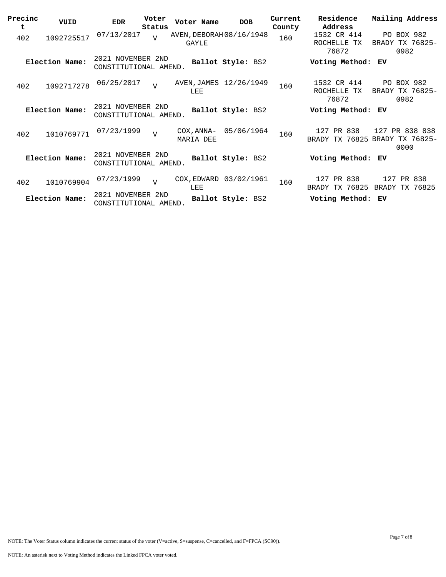| Precinc<br>t | VUID           | EDR                                        | Voter<br>Status | Voter Name                               | <b>DOB</b>             | Current<br>County | Residence<br>Address                   | Mailing Address                                          |
|--------------|----------------|--------------------------------------------|-----------------|------------------------------------------|------------------------|-------------------|----------------------------------------|----------------------------------------------------------|
| 402          | 1092725517     | 07/13/2017                                 | $\overline{I}$  | AVEN, DEBORAH 08/16/1948<br><b>GAYLE</b> |                        | 160               | 1532 CR 414<br>ROCHELLE<br>TX<br>76872 | PO BOX 982<br>BRADY TX 76825-<br>0982                    |
|              | Election Name: | 2021 NOVEMBER 2ND<br>CONSTITUTIONAL AMEND. |                 |                                          | Ballot Style: BS2      |                   | Voting Method:                         | ЕV                                                       |
| 402          | 1092717278     | 06/25/2017                                 | $\overline{z}$  | LEE                                      | AVEN, JAMES 12/26/1949 | 160               | 1532 CR 414<br>ROCHELLE TX<br>76872    | PO BOX 982<br>BRADY TX 76825-<br>0982                    |
|              | Election Name: | 2021 NOVEMBER 2ND<br>CONSTITUTIONAL AMEND. |                 |                                          | Ballot Style: BS2      |                   | Voting Method:                         | ЕV                                                       |
| 402          | 1010769771     | 07/23/1999                                 | $\overline{v}$  | COX, ANNA-<br>MARIA DEE                  | 05/06/1964             | 160               | PR 838<br>127                          | 127 PR 838 838<br>BRADY TX 76825 BRADY TX 76825-<br>0000 |
|              | Election Name: | 2021 NOVEMBER 2ND<br>CONSTITUTIONAL AMEND. |                 |                                          | Ballot Style: BS2      |                   | Voting Method:                         | ЕV                                                       |
| 402          | 1010769904     | 07/23/1999                                 | $\overline{U}$  | COX, EDWARD<br>LEE                       | 03/02/1961             | 160               | 127 PR 838<br>BRADY TX 76825           | 127 PR 838<br>BRADY TX 76825                             |
|              | Election Name: | 2021 NOVEMBER 2ND<br>CONSTITUTIONAL AMEND. |                 |                                          | Ballot Style: BS2      |                   | Voting Method:                         | ЕV                                                       |